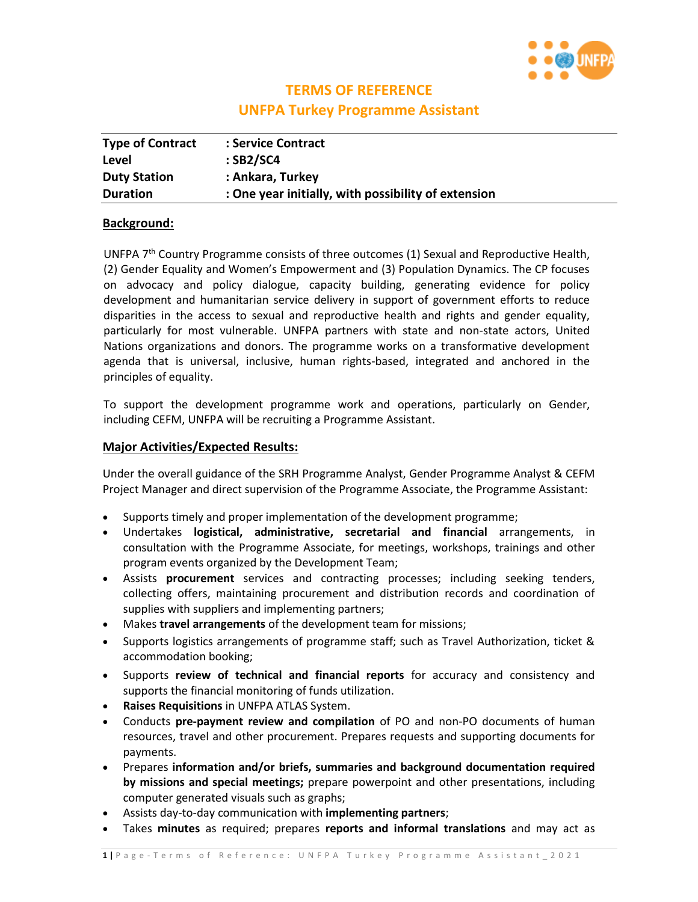

# **TERMS OF REFERENCE**

# **UNFPA Turkey Programme Assistant**

| <b>Type of Contract</b> | : Service Contract                                  |
|-------------------------|-----------------------------------------------------|
| Level                   | $:$ SB2/SC4                                         |
| <b>Duty Station</b>     | : Ankara, Turkey                                    |
| <b>Duration</b>         | : One year initially, with possibility of extension |

### **Background:**

UNFPA 7th Country Programme consists of three outcomes (1) Sexual and Reproductive Health, (2) Gender Equality and Women's Empowerment and (3) Population Dynamics. The CP focuses on advocacy and policy dialogue, capacity building, generating evidence for policy development and humanitarian service delivery in support of government efforts to reduce disparities in the access to sexual and reproductive health and rights and gender equality, particularly for most vulnerable. UNFPA partners with state and non-state actors, United Nations organizations and donors. The programme works on a transformative development agenda that is universal, inclusive, human rights-based, integrated and anchored in the principles of equality.

To support the development programme work and operations, particularly on Gender, including CEFM, UNFPA will be recruiting a Programme Assistant.

## **Major Activities/Expected Results:**

Under the overall guidance of the SRH Programme Analyst, Gender Programme Analyst & CEFM Project Manager and direct supervision of the Programme Associate, the Programme Assistant:

- Supports timely and proper implementation of the development programme;
- Undertakes **logistical, administrative, secretarial and financial** arrangements, in consultation with the Programme Associate, for meetings, workshops, trainings and other program events organized by the Development Team;
- Assists **procurement** services and contracting processes; including seeking tenders, collecting offers, maintaining procurement and distribution records and coordination of supplies with suppliers and implementing partners;
- Makes **travel arrangements** of the development team for missions;
- Supports logistics arrangements of programme staff; such as Travel Authorization, ticket & accommodation booking;
- Supports **review of technical and financial reports** for accuracy and consistency and supports the financial monitoring of funds utilization.
- **Raises Requisitions** in UNFPA ATLAS System.
- Conducts **pre-payment review and compilation** of PO and non-PO documents of human resources, travel and other procurement. Prepares requests and supporting documents for payments.
- Prepares **information and/or briefs, summaries and background documentation required by missions and special meetings;** prepare powerpoint and other presentations, including computer generated visuals such as graphs;
- Assists day-to-day communication with **implementing partners**;
- Takes **minutes** as required; prepares **reports and informal translations** and may act as